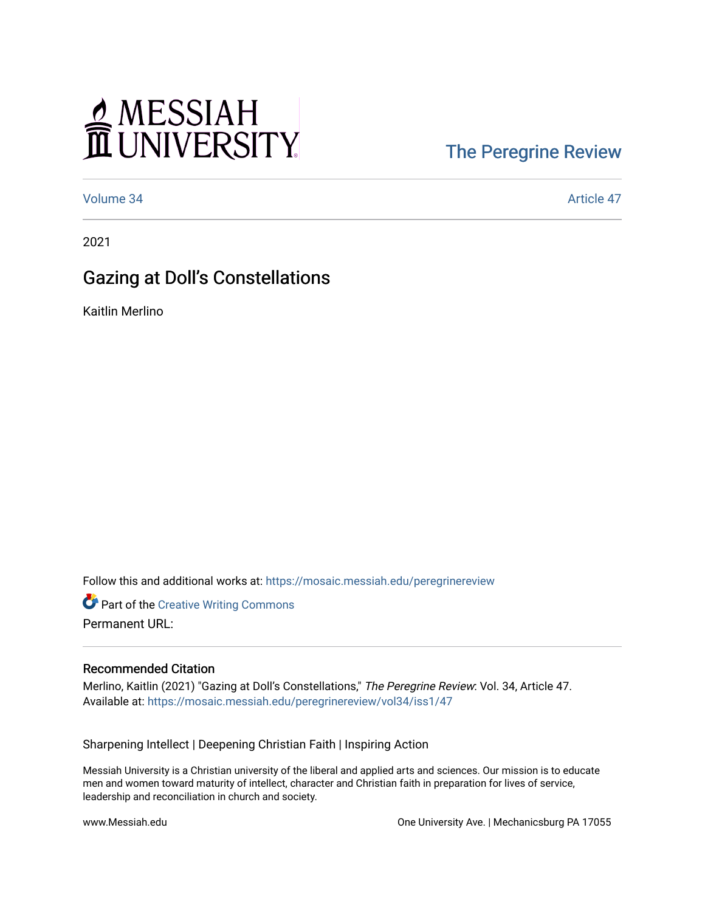# MESSIAH

### [The Peregrine Review](https://mosaic.messiah.edu/peregrinereview)

[Volume 34](https://mosaic.messiah.edu/peregrinereview/vol34) Article 47

2021

## Gazing at Doll's Constellations

Kaitlin Merlino

Follow this and additional works at: [https://mosaic.messiah.edu/peregrinereview](https://mosaic.messiah.edu/peregrinereview?utm_source=mosaic.messiah.edu%2Fperegrinereview%2Fvol34%2Fiss1%2F47&utm_medium=PDF&utm_campaign=PDFCoverPages) 

**Part of the Creative Writing Commons** Permanent URL:

#### Recommended Citation

Merlino, Kaitlin (2021) "Gazing at Doll's Constellations," The Peregrine Review: Vol. 34, Article 47. Available at: [https://mosaic.messiah.edu/peregrinereview/vol34/iss1/47](https://mosaic.messiah.edu/peregrinereview/vol34/iss1/47?utm_source=mosaic.messiah.edu%2Fperegrinereview%2Fvol34%2Fiss1%2F47&utm_medium=PDF&utm_campaign=PDFCoverPages)

Sharpening Intellect | Deepening Christian Faith | Inspiring Action

Messiah University is a Christian university of the liberal and applied arts and sciences. Our mission is to educate men and women toward maturity of intellect, character and Christian faith in preparation for lives of service, leadership and reconciliation in church and society.

www.Messiah.edu One University Ave. | Mechanicsburg PA 17055